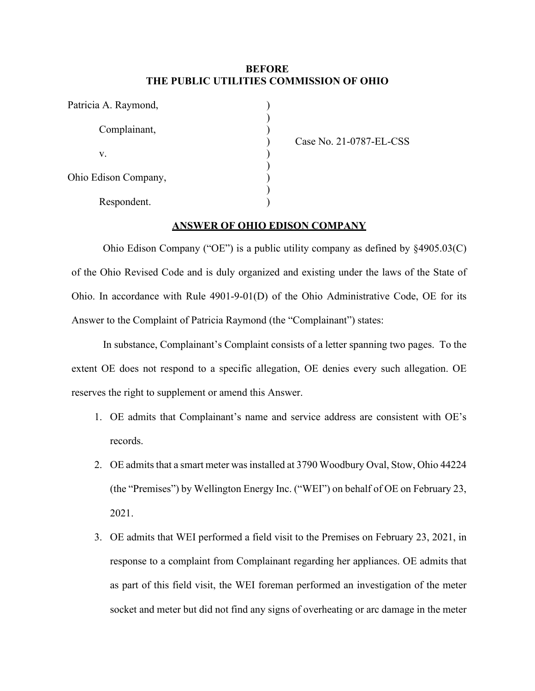## **BEFORE THE PUBLIC UTILITIES COMMISSION OF OHIO**

| Patricia A. Raymond, |  |
|----------------------|--|
| Complainant,         |  |
| V.                   |  |
| Ohio Edison Company, |  |
| Respondent.          |  |

Case No. 21-0787-EL-CSS

## **ANSWER OF OHIO EDISON COMPANY**

Ohio Edison Company ("OE") is a public utility company as defined by §4905.03(C) of the Ohio Revised Code and is duly organized and existing under the laws of the State of Ohio. In accordance with Rule 4901-9-01(D) of the Ohio Administrative Code, OE for its Answer to the Complaint of Patricia Raymond (the "Complainant") states:

In substance, Complainant's Complaint consists of a letter spanning two pages. To the extent OE does not respond to a specific allegation, OE denies every such allegation. OE reserves the right to supplement or amend this Answer.

- 1. OE admits that Complainant's name and service address are consistent with OE's records.
- 2. OE admits that a smart meter was installed at 3790 Woodbury Oval, Stow, Ohio 44224 (the "Premises") by Wellington Energy Inc. ("WEI") on behalf of OE on February 23, 2021.
- 3. OE admits that WEI performed a field visit to the Premises on February 23, 2021, in response to a complaint from Complainant regarding her appliances. OE admits that as part of this field visit, the WEI foreman performed an investigation of the meter socket and meter but did not find any signs of overheating or arc damage in the meter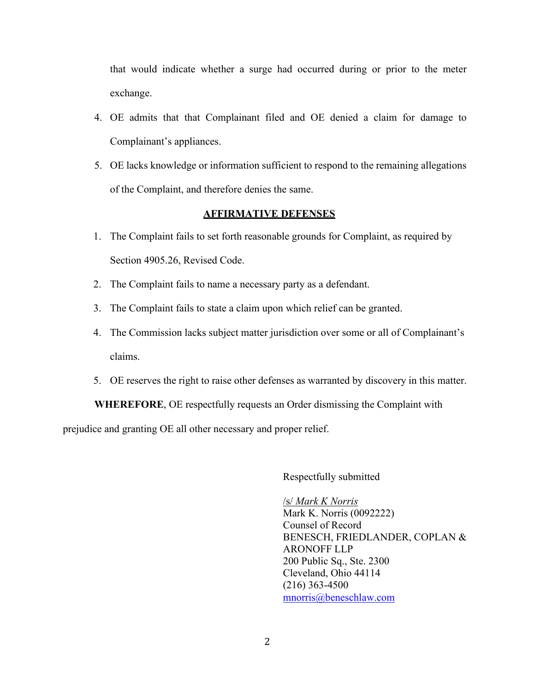that would indicate whether a surge had occurred during or prior to the meter exchange.

- 4. OE admits that that Complainant filed and OE denied a claim for damage to Complainant's appliances.
- 5. OE lacks knowledge or information sufficient to respond to the remaining allegations of the Complaint, and therefore denies the same.

## **AFFIRMATIVE DEFENSES**

- 1. The Complaint fails to set forth reasonable grounds for Complaint, as required by Section 4905.26, Revised Code.
- 2. The Complaint fails to name a necessary party as a defendant.
- 3. The Complaint fails to state a claim upon which relief can be granted.
- 4. The Commission lacks subject matter jurisdiction over some or all of Complainant's claims.
- 5. OE reserves the right to raise other defenses as warranted by discovery in this matter.

**WHEREFORE**, OE respectfully requests an Order dismissing the Complaint with prejudice and granting OE all other necessary and proper relief.

Respectfully submitted

/s/ *Mark K Norris* Mark K. Norris (0092222) Counsel of Record BENESCH, FRIEDLANDER, COPLAN & ARONOFF LLP 200 Public Sq., Ste. 2300 Cleveland, Ohio 44114 (216) 363-4500 [mnorris@beneschlaw.com](mailto:mnorris@beneschlaw.com)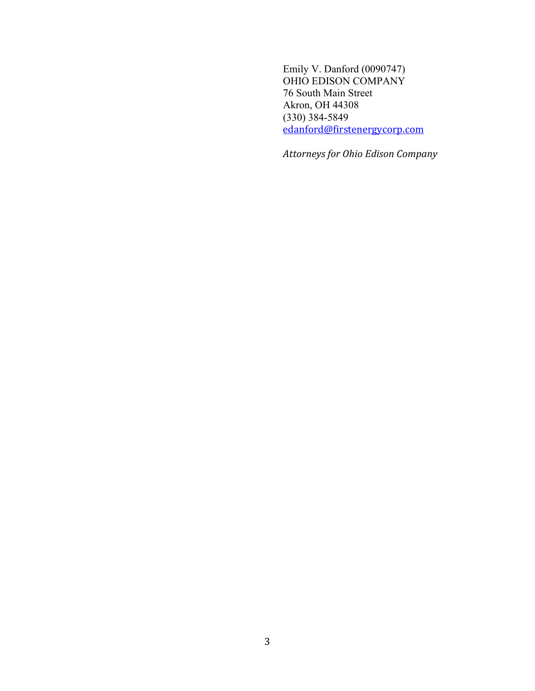Emily V. Danford (0090747) OHIO EDISON COMPANY 76 South Main Street Akron, OH 44308 (330) 384-5849 [edanford@firstenergycorp.com](mailto:edanford@firstenergycorp.com)

*Attorneys for Ohio Edison Company*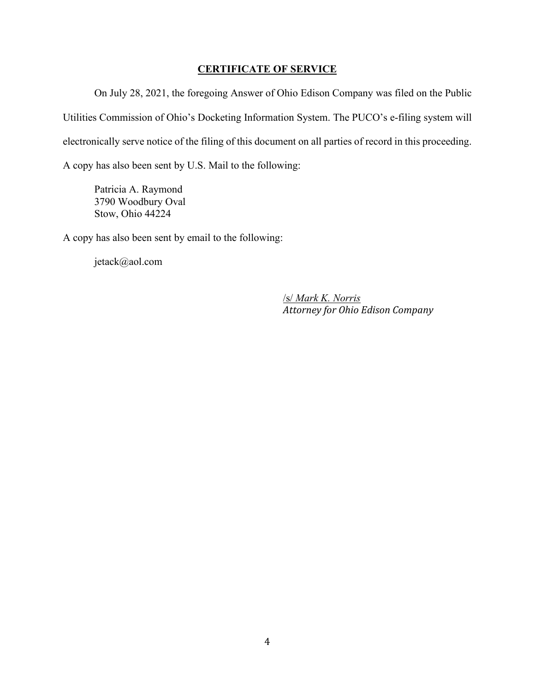## **CERTIFICATE OF SERVICE**

On July 28, 2021, the foregoing Answer of Ohio Edison Company was filed on the Public Utilities Commission of Ohio's Docketing Information System. The PUCO's e-filing system will electronically serve notice of the filing of this document on all parties of record in this proceeding. A copy has also been sent by U.S. Mail to the following:

Patricia A. Raymond 3790 Woodbury Oval Stow, Ohio 44224

A copy has also been sent by email to the following:

jetack@aol.com

/s/ *Mark K. Norris Attorney for Ohio Edison Company*